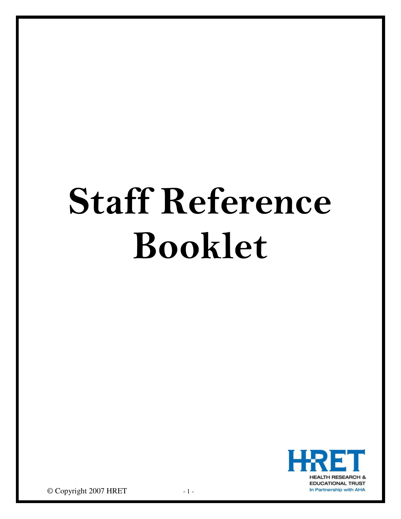# Staff Reference Booklet



© Copyright 2007 HRET - 1 -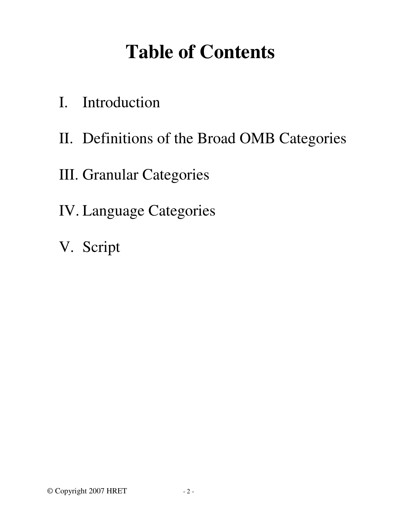## **Table of Contents**

- I. Introduction
- II. Definitions of the Broad OMB Categories
- III. Granular Categories
- IV. Language Categories
- V. Script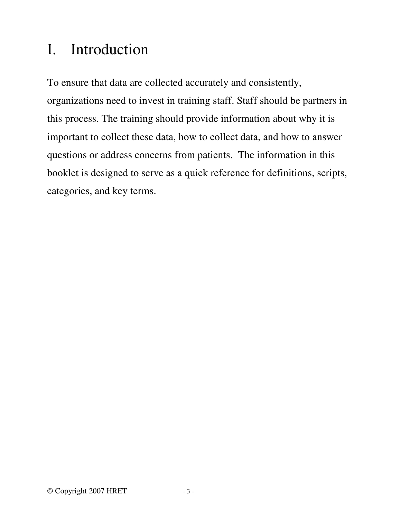## I. Introduction

To ensure that data are collected accurately and consistently, organizations need to invest in training staff. Staff should be partners in this process. The training should provide information about why it is important to collect these data, how to collect data, and how to answer questions or address concerns from patients. The information in this booklet is designed to serve as a quick reference for definitions, scripts, categories, and key terms.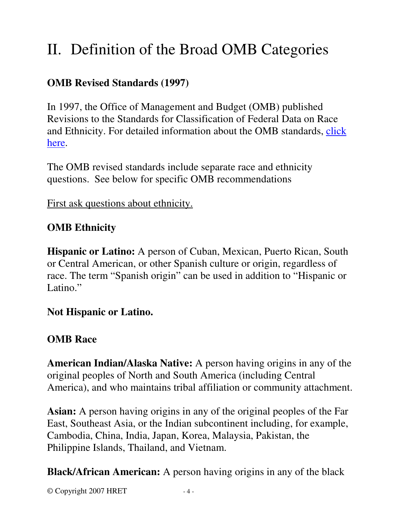## II. Definition of the Broad OMB Categories

#### **OMB Revised Standards (1997)**

In 1997, the Office of Management and Budget (OMB) published Revisions to the Standards for Classification of Federal Data on Race and Ethnicity. For detailed information about the OMB standards, [click](http://www.whitehouse.gov/omb/fedreg/1997standards.html) [here.](http://www.whitehouse.gov/omb/fedreg/1997standards.html)

The OMB revised standards include separate race and ethnicity questions. See below for specific OMB recommendations

First ask questions about ethnicity.

#### **OMB Ethnicity**

**Hispanic or Latino:** A person of Cuban, Mexican, Puerto Rican, South or Central American, or other Spanish culture or origin, regardless of race. The term "Spanish origin" can be used in addition to "Hispanic or Latino."

#### **Not Hispanic or Latino.**

#### **OMB Race**

**American Indian/Alaska Native:** A person having origins in any of the original peoples of North and South America (including Central America), and who maintains tribal affiliation or community attachment.

**Asian:** A person having origins in any of the original peoples of the Far East, Southeast Asia, or the Indian subcontinent including, for example, Cambodia, China, India, Japan, Korea, Malaysia, Pakistan, the Philippine Islands, Thailand, and Vietnam.

**Black/African American:** A person having origins in any of the black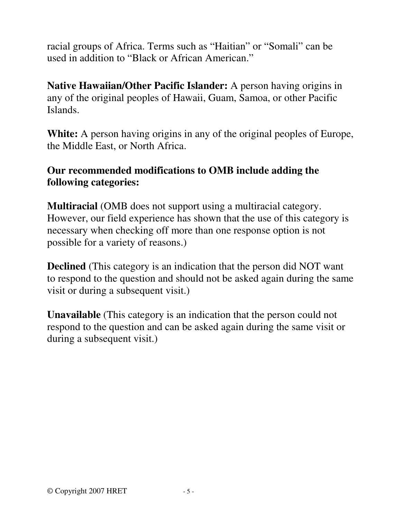racial groups of Africa. Terms such as "Haitian" or "Somali" can be used in addition to "Black or African American."

**Native Hawaiian/Other Pacific Islander:** A person having origins in any of the original peoples of Hawaii, Guam, Samoa, or other Pacific Islands.

**White:** A person having origins in any of the original peoples of Europe, the Middle East, or North Africa.

#### **Our recommended modifications to OMB include adding the following categories:**

**Multiracial** (OMB does not support using a multiracial category. However, our field experience has shown that the use of this category is necessary when checking off more than one response option is not possible for a variety of reasons.)

**Declined** (This category is an indication that the person did NOT want to respond to the question and should not be asked again during the same visit or during a subsequent visit.)

**Unavailable** (This category is an indication that the person could not respond to the question and can be asked again during the same visit or during a subsequent visit.)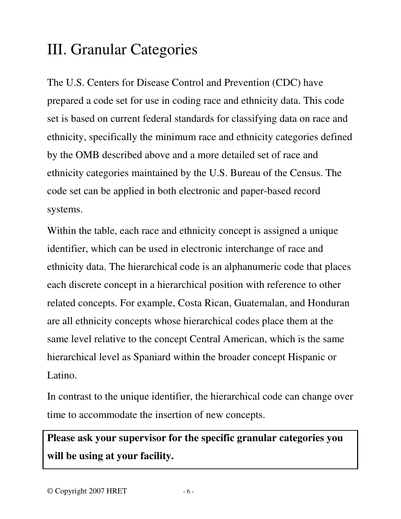## III. Granular Categories

The U.S. Centers for Disease Control and Prevention (CDC) have prepared a code set for use in coding race and ethnicity data. This code set is based on current federal standards for classifying data on race and ethnicity, specifically the minimum race and ethnicity categories defined by the OMB described above and a more detailed set of race and ethnicity categories maintained by the U.S. Bureau of the Census. The code set can be applied in both electronic and paper-based record systems.

Within the table, each race and ethnicity concept is assigned a unique identifier, which can be used in electronic interchange of race and ethnicity data. The hierarchical code is an alphanumeric code that places each discrete concept in a hierarchical position with reference to other related concepts. For example, Costa Rican, Guatemalan, and Honduran are all ethnicity concepts whose hierarchical codes place them at the same level relative to the concept Central American, which is the same hierarchical level as Spaniard within the broader concept Hispanic or Latino.

In contrast to the unique identifier, the hierarchical code can change over time to accommodate the insertion of new concepts.

### **Please ask your supervisor for the specific granular categories you will be using at your facility.**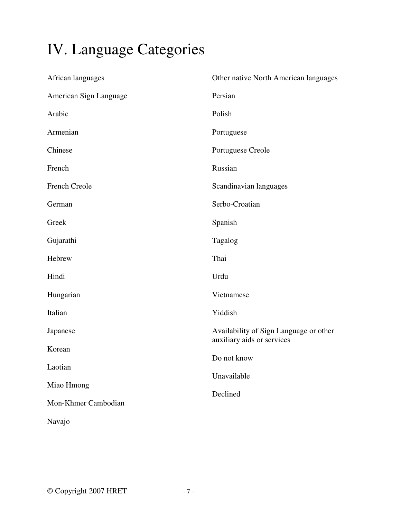## IV. Language Categories

| African languages      | Other native North American languages     |
|------------------------|-------------------------------------------|
| American Sign Language | Persian                                   |
| Arabic                 | Polish                                    |
| Armenian               | Portuguese                                |
| Chinese                | Portuguese Creole                         |
| French                 | Russian                                   |
| French Creole          | Scandinavian languages                    |
| German                 | Serbo-Croatian                            |
| Greek                  | Spanish                                   |
| Gujarathi              | Tagalog                                   |
| Hebrew                 | Thai                                      |
| Hindi                  | Urdu                                      |
| Hungarian              | Vietnamese                                |
| Italian                | Yiddish                                   |
| Japanese               | Availability of Sign Language or other    |
| Korean                 | auxiliary aids or services<br>Do not know |
| Laotian                |                                           |
| Miao Hmong             | Unavailable                               |
| Mon-Khmer Cambodian    | Declined                                  |
| Navajo                 |                                           |